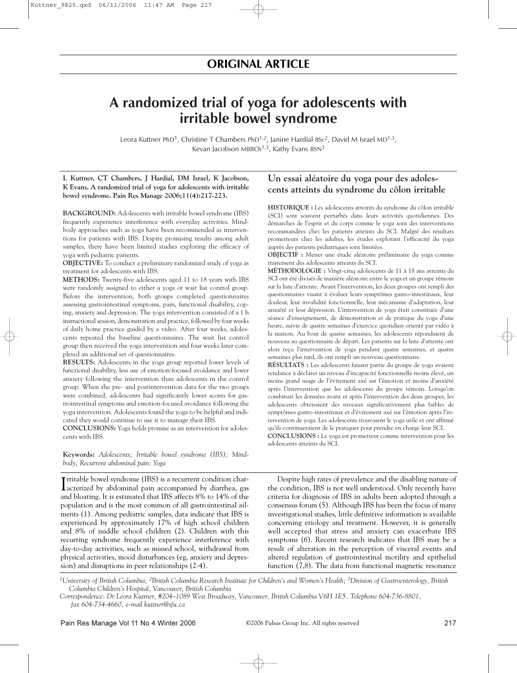# A randomized trial of yoga for adolescents with irritable bowel syndrome

Leora Kuttner PhD<sup>1</sup>, Christine T Chambers PhD<sup>1,2</sup>, Janine Hardial BSc<sup>2</sup>, David M Israel MD<sup>1,3</sup>, Kevan Jacobson MBBCh<sup>1,3</sup>, Kathy Evans BSN<sup>3</sup>

### L Kuttner, CT Chambers, J Hardial, DM Israel, K Jacobson, K Evans. A randomized trial of yoga for adolescents with irritable bowel syndrome. Pain Res Manage 2006;11(4):217-223.

BACKGROUND: Adolescents with irritable bowel syndrome (IBS) frequently experience interference with everyday activities. Mindbody approaches such as yoga have been recommended as interventions for patients with IBS. Despite promising results among adult samples, there have been limited studies exploring the efficacy of yoga with pediatric patients.

OBJECTIVE: To conduct a preliminary randomized study of yoga as treatment for adolescents with IBS.

METHODS: Twenty-five adolescents aged 11 to 18 years with IBS were randomly assigned to either a yoga or wait list control group. Before the intervention, both groups completed questionnaires assessing gastrointestinal symptoms, pain, functional disability, coping, anxiety and depression. The yoga intervention consisted of a 1 h instructional session, demonstration and practice, followed by four weeks of daily home practice guided by a video. After four weeks, adolescents repeated the baseline questionnaires. The wait list control group then received the yoga intervention and four weeks later completed an additional set of questionnaires.

RESULTS: Adolescents in the yoga group reported lower levels of functional disability, less use of emotion-focused avoidance and lower anxiety following the intervention than adolescents in the control group. When the pre- and postintervention data for the two groups were combined, adolescents had significantly lower scores for gastrointestinal symptoms and emotion-focused avoidance following the yoga intervention. Adolescents found the yoga to be helpful and indicated they would continue to use it to manage their IBS.

CONCLUSIONS: Yoga holds promise as an intervention for adolescents with IBS.

Keywords: Adolescents; Irritable bowel syndrome (IBS); Mindbody; Recurrent abdominal pain; Yoga

Initiable bowel syndrome (IBS) is a recurrent condition char-<br>acterized by abdominal pain accompanied by diarrhea, gas **T** rritable bowel syndrome (IBS) is a recurrent condition charand bloating. It is estimated that IBS affects 8% to 14% of the population and is the most common of all gastrointestinal ailments (1). Among pediatric samples, data indicate that IBS is experienced by approximately 17% of high school children and 8% of middle school children (2). Children with this recurring syndrome frequently experience interference with day-to-day activities, such as missed school, withdrawal from physical activities, mood disturbances (eg, anxiety and depression) and disruptions in peer relationships (2-4).

# Un essai aléatoire du yoga pour des adolescents atteints du syndrome du côlon irritable

HISTORIQUE : Les adolescents atteints du syndrome du côlon irritable (SCI) sont souvent perturbés dans leurs activités quotidiennes. Des démarches de l'esprit et du corps comme le yoga sont des interventions recommandées chez les patients atteints du SCI. Malgré des résultats prometteurs chez les adultes, les études explorant l'efficacité du yoga auprès des patients pédiatriques sont limitées.

OBJECTIF : Mener une étude aléatoire préliminaire du yoga comme traitement des adolescents atteints du SCI.

MÉTHODOLOGIE : Vingt-cinq adolescents de 11 à 18 ans atteints du SCI ont été divisés de manière aléatoire entre le yoga et un groupe témoin sur la liste d'attente. Avant l'intervention, les deux groupes ont rempli des questionnaires visant à évaluer leurs symptômes gastro-intestinaux, leur douleur, leur invalidité fonctionnelle, leur mécanisme d'adaptation, leur anxiété et leur dépression. L'intervention de yoga était constituée d'une séance d'enseignement, de démonstration et de pratique du yoga d'une heure, suivie de quatre semaines d'exercice quotidien orienté par vidéo à la maison. Au bout de quatre semaines, les adolescents répondaient de nouveau au questionnaire de départ. Les patients sur la liste d'attente ont alors reçu l'intervention de yoga pendant quatre semaines, et quatre semaines plus tard, ils ont rempli un nouveau questionnaire.

RÉSULTATS : Les adolescents faisant partie du groupe de yoga avaient tendance à déclarer un niveau d'incapacité fonctionnelle moins élevé, un moins grand usage de l'évitement axé sur l'émotion et moins d'anxiété après l'intervention que les adolescents du groupe témoin. Lorsqu'on combinait les données avant et après l'intervention des deux groupes, les adolescents obtenaient des niveaux significativement plus faibles de symptômes gastro-intestinaux et d'évitement axé sur l'émotion après l'intervention de yoga. Les adolescents trouvaient le yoga utile et ont affirmé qu'ils continueraient de le pratiquer pour prendre en charge leur SCI.

CONCLUSIONS : Le yoga est prometteur comme intervention pour les adolescents atteints du SCI.

Despite high rates of prevalence and the disabling nature of the condition, IBS is not well understood. Only recently have criteria for diagnosis of IBS in adults been adopted through a consensus forum (5). Although IBS has been the focus of many investigational studies, little definitive information is available concerning etiology and treatment. However, it is generally well accepted that stress and anxiety can exacerbate IBS symptoms (6). Recent research indicates that IBS may be a result of alteration in the perception of visceral events and altered regulation of gastrointestinal motility and epithelial function (7,8). The data from functional magnetic resonance

<sup>1</sup>University of British Columbia; <sup>2</sup>British Columbia Research Institute for Children's and Women's Health; <sup>3</sup>Division of Gastroenterology, British Columbia Children's Hospital, Vancouver, British Columbia

Correspondence: Dr Leora Kuttner, #204–1089 West Broadway, Vancouver, British Columbia V6H 1E5. Telephone 604-736-8801, fax 604-734-4660, e-mail kuttner@sfu.ca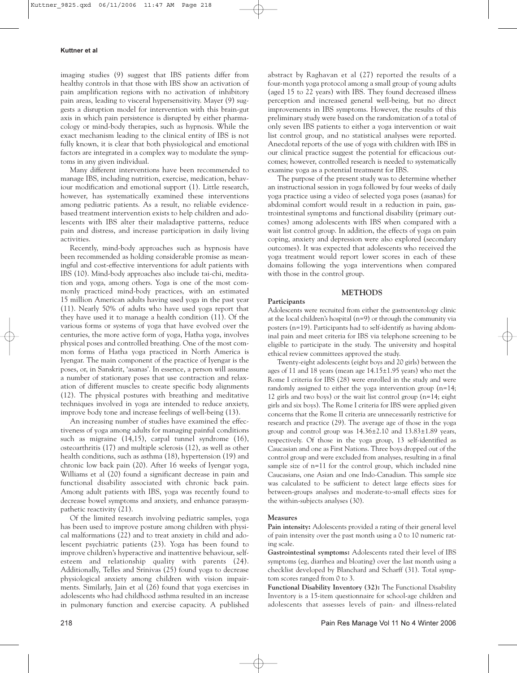imaging studies (9) suggest that IBS patients differ from healthy controls in that those with IBS show an activation of pain amplification regions with no activation of inhibitory pain areas, leading to visceral hypersensitivity. Mayer (9) suggests a disruption model for intervention with this brain-gut axis in which pain persistence is disrupted by either pharmacology or mind-body therapies, such as hypnosis. While the exact mechanism leading to the clinical entity of IBS is not fully known, it is clear that both physiological and emotional factors are integrated in a complex way to modulate the symptoms in any given individual.

Many different interventions have been recommended to manage IBS, including nutrition, exercise, medication, behaviour modification and emotional support (1). Little research, however, has systematically examined these interventions among pediatric patients. As a result, no reliable evidencebased treatment intervention exists to help children and adolescents with IBS alter their maladaptive patterns, reduce pain and distress, and increase participation in daily living activities.

Recently, mind-body approaches such as hypnosis have been recommended as holding considerable promise as meaningful and cost-effective interventions for adult patients with IBS (10). Mind-body approaches also include tai-chi, meditation and yoga, among others. Yoga is one of the most commonly practiced mind-body practices, with an estimated 15 million American adults having used yoga in the past year (11). Nearly 50% of adults who have used yoga report that they have used it to manage a health condition (11). Of the various forms or systems of yoga that have evolved over the centuries, the more active form of yoga, Hatha yoga, involves physical poses and controlled breathing. One of the most common forms of Hatha yoga practiced in North America is Iyengar. The main component of the practice of Iyengar is the poses, or, in Sanskrit, 'asanas'. In essence, a person will assume a number of stationary poses that use contraction and relaxation of different muscles to create specific body alignments (12). The physical postures with breathing and meditative techniques involved in yoga are intended to reduce anxiety, improve body tone and increase feelings of well-being (13).

An increasing number of studies have examined the effectiveness of yoga among adults for managing painful conditions such as migraine (14,15), carpal tunnel syndrome (16), osteoarthritis (17) and multiple sclerosis (12), as well as other health conditions, such as asthma (18), hypertension (19) and chronic low back pain (20). After 16 weeks of Iyengar yoga, Williams et al (20) found a significant decrease in pain and functional disability associated with chronic back pain. Among adult patients with IBS, yoga was recently found to decrease bowel symptoms and anxiety, and enhance parasympathetic reactivity (21).

Of the limited research involving pediatric samples, yoga has been used to improve posture among children with physical malformations (22) and to treat anxiety in child and adolescent psychiatric patients (23). Yoga has been found to improve children's hyperactive and inattentive behaviour, selfesteem and relationship quality with parents (24). Additionally, Telles and Srinivas (25) found yoga to decrease physiological anxiety among children with vision impairments. Similarly, Jain et al (26) found that yoga exercises in adolescents who had childhood asthma resulted in an increase in pulmonary function and exercise capacity. A published abstract by Raghavan et al (27) reported the results of a four-month yoga protocol among a small group of young adults (aged 15 to 22 years) with IBS. They found decreased illness perception and increased general well-being, but no direct improvements in IBS symptoms. However, the results of this preliminary study were based on the randomization of a total of only seven IBS patients to either a yoga intervention or wait list control group, and no statistical analyses were reported. Anecdotal reports of the use of yoga with children with IBS in our clinical practice suggest the potential for efficacious outcomes; however, controlled research is needed to systematically examine yoga as a potential treatment for IBS.

The purpose of the present study was to determine whether an instructional session in yoga followed by four weeks of daily yoga practice using a video of selected yoga poses (asanas) for abdominal comfort would result in a reduction in pain, gastrointestinal symptoms and functional disability (primary outcomes) among adolescents with IBS when compared with a wait list control group. In addition, the effects of yoga on pain coping, anxiety and depression were also explored (secondary outcomes). It was expected that adolescents who received the yoga treatment would report lower scores in each of these domains following the yoga interventions when compared with those in the control group.

# METHODS

#### Participants

Adolescents were recruited from either the gastroenterology clinic at the local children's hospital (n=9) or through the community via posters (n=19). Participants had to self-identify as having abdominal pain and meet criteria for IBS via telephone screening to be eligible to participate in the study. The university and hospital ethical review committees approved the study.

Twenty-eight adolescents (eight boys and 20 girls) between the ages of 11 and 18 years (mean age 14.15±1.95 years) who met the Rome I criteria for IBS (28) were enrolled in the study and were randomly assigned to either the yoga intervention group (n=14; 12 girls and two boys) or the wait list control group (n=14; eight girls and six boys). The Rome I criteria for IBS were applied given concerns that the Rome II criteria are unnecessarily restrictive for research and practice (29). The average age of those in the yoga group and control group was 14.36±2.10 and 13.83±1.89 years, respectively. Of those in the yoga group, 13 self-identified as Caucasian and one as First Nations. Three boys dropped out of the control group and were excluded from analyses, resulting in a final sample size of  $n=11$  for the control group, which included nine Caucasians, one Asian and one Indo-Canadian. This sample size was calculated to be sufficient to detect large effects sizes for between-groups analyses and moderate-to-small effects sizes for the within-subjects analyses (30).

#### Measures

Pain intensity: Adolescents provided a rating of their general level of pain intensity over the past month using a 0 to 10 numeric rating scale.

Gastrointestinal symptoms: Adolescents rated their level of IBS symptoms (eg, diarrhea and bloating) over the last month using a checklist developed by Blanchard and Scharff (31). Total symptom scores ranged from 0 to 3.

Functional Disability Inventory (32): The Functional Disability Inventory is a 15-item questionnaire for school-age children and adolescents that assesses levels of pain- and illness-related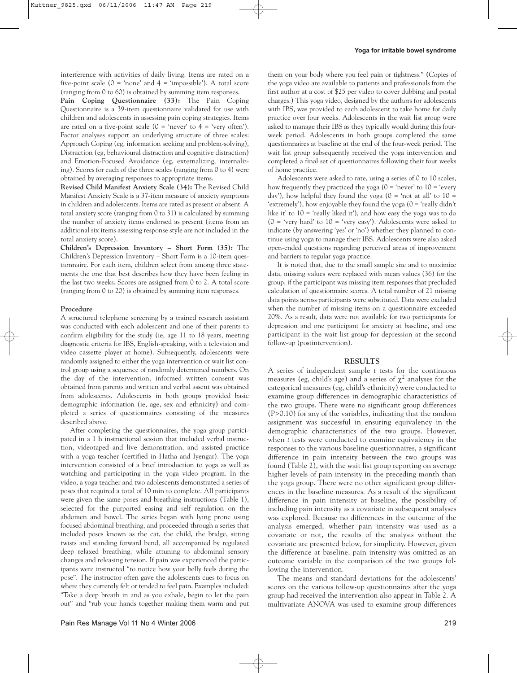interference with activities of daily living. Items are rated on a five-point scale  $(0 = 'none'$  and  $4 = 'impossible'$ ). A total score (ranging from 0 to 60) is obtained by summing item responses.

Pain Coping Questionnaire (33): The Pain Coping Questionnaire is a 39-item questionnaire validated for use with children and adolescents in assessing pain coping strategies. Items are rated on a five-point scale  $(0 = 'never'$  to  $4 = 'very often').$ Factor analyses support an underlying structure of three scales: Approach Coping (eg, information seeking and problem-solving), Distraction (eg, behavioural distraction and cognitive distraction) and Emotion-Focused Avoidance (eg, externalizing, internalizing). Scores for each of the three scales (ranging from 0 to 4) were obtained by averaging responses to appropriate items.

Revised Child Manifest Anxiety Scale (34): The Revised Child Manifest Anxiety Scale is a 37-item measure of anxiety symptoms in children and adolescents. Items are rated as present or absent. A total anxiety score (ranging from 0 to 31) is calculated by summing the number of anxiety items endorsed as present (items from an additional six items assessing response style are not included in the total anxiety score).

Children's Depression Inventory – Short Form (35): The Children's Depression Inventory – Short Form is a 10-item questionnaire. For each item, children select from among three statements the one that best describes how they have been feeling in the last two weeks. Scores are assigned from 0 to 2. A total score (ranging from 0 to 20) is obtained by summing item responses.

#### Procedure

A structured telephone screening by a trained research assistant was conducted with each adolescent and one of their parents to confirm eligibility for the study (ie, age 11 to 18 years, meeting diagnostic criteria for IBS, English-speaking, with a television and video cassette player at home). Subsequently, adolescents were randomly assigned to either the yoga intervention or wait list control group using a sequence of randomly determined numbers. On the day of the intervention, informed written consent was obtained from parents and written and verbal assent was obtained from adolescents. Adolescents in both groups provided basic demographic information (ie, age, sex and ethnicity) and completed a series of questionnaires consisting of the measures described above.

After completing the questionnaires, the yoga group participated in a 1 h instructional session that included verbal instruction, videotaped and live demonstration, and assisted practice with a yoga teacher (certified in Hatha and Iyengar). The yoga intervention consisted of a brief introduction to yoga as well as watching and participating in the yoga video program. In the video, a yoga teacher and two adolescents demonstrated a series of poses that required a total of 10 min to complete. All participants were given the same poses and breathing instructions (Table 1), selected for the purported easing and self regulation on the abdomen and bowel. The series began with lying prone using focused abdominal breathing, and proceeded through a series that included poses known as the cat, the child, the bridge, sitting twists and standing forward bend, all accompanied by regulated deep relaxed breathing, while attuning to abdominal sensory changes and releasing tension. If pain was experienced the participants were instructed "to notice how your belly feels during the pose". The instructor often gave the adolescents cues to focus on where they currently felt or tended to feel pain. Examples included: "Take a deep breath in and as you exhale, begin to let the pain out" and "rub your hands together making them warm and put them on your body where you feel pain or tightness." (Copies of the yoga video are available to patients and professionals from the first author at a cost of \$25 per video to cover dubbing and postal charges.) This yoga video, designed by the authors for adolescents with IBS, was provided to each adolescent to take home for daily practice over four weeks. Adolescents in the wait list group were asked to manage their IBS as they typically would during this fourweek period. Adolescents in both groups completed the same questionnaires at baseline at the end of the four-week period. The wait list group subsequently received the yoga intervention and completed a final set of questionnaires following their four weeks of home practice.

Adolescents were asked to rate, using a series of 0 to 10 scales, how frequently they practiced the yoga ( $0 = 'never'$  to  $10 = 'every$ day'), how helpful they found the yoga ( $0 = \text{`not at all' to } 10 =$ 'extremely'), how enjoyable they found the yoga (0 = 'really didn't like it' to  $10 = 'really$  liked it'), and how easy the yoga was to do  $(0 = 'very hard' to 10 = 'very easy')$ . Adolescents were asked to indicate (by answering 'yes' or 'no') whether they planned to continue using yoga to manage their IBS. Adolescents were also asked open-ended questions regarding perceived areas of improvement and barriers to regular yoga practice.

It is noted that, due to the small sample size and to maximize data, missing values were replaced with mean values (36) for the group, if the participant was missing item responses that precluded calculation of questionnaire scores. A total number of 21 missing data points across participants were substituted. Data were excluded when the number of missing items on a questionnaire exceeded 20%. As a result, data were not available for two participants for depression and one participant for anxiety at baseline, and one participant in the wait list group for depression at the second follow-up (postintervention).

#### **RESULTS**

A series of independent sample  $t$  tests for the continuous measures (eg, child's age) and a series of  $\chi^2$  analyses for the categorical measures (eg, child's ethnicity) were conducted to examine group differences in demographic characteristics of the two groups. There were no significant group differences (P>0.10) for any of the variables, indicating that the random assignment was successful in ensuring equivalency in the demographic characteristics of the two groups. However, when t tests were conducted to examine equivalency in the responses to the various baseline questionnaires, a significant difference in pain intensity between the two groups was found (Table 2), with the wait list group reporting on average higher levels of pain intensity in the preceding month than the yoga group. There were no other significant group differences in the baseline measures. As a result of the significant difference in pain intensity at baseline, the possibility of including pain intensity as a covariate in subsequent analyses was explored. Because no differences in the outcome of the analysis emerged, whether pain intensity was used as a covariate or not, the results of the analysis without the covariate are presented below, for simplicity. However, given the difference at baseline, pain intensity was omitted as an outcome variable in the comparison of the two groups following the intervention.

The means and standard deviations for the adolescents' scores on the various follow-up questionnaires after the yoga group had received the intervention also appear in Table 2. A multivariate ANOVA was used to examine group differences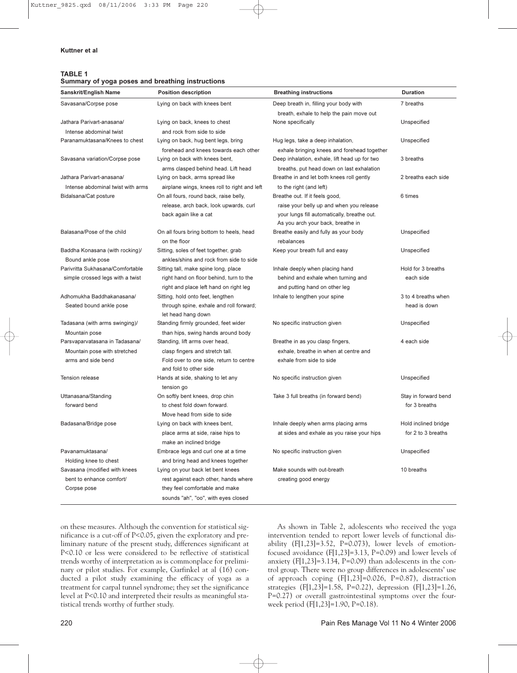## TABLE 1 Summary of yoga poses and breathing instructions

| Sanskrit/English Name             | <b>Position description</b>                                       | <b>Breathing instructions</b>                       | <b>Duration</b>      |
|-----------------------------------|-------------------------------------------------------------------|-----------------------------------------------------|----------------------|
| Savasana/Corpse pose              | Lying on back with knees bent                                     | Deep breath in, filling your body with              | 7 breaths            |
|                                   |                                                                   | breath, exhale to help the pain move out            |                      |
| Jathara Parivart-anasana/         | Lying on back, knees to chest                                     | None specifically                                   | Unspecified          |
| Intense abdominal twist           | and rock from side to side                                        |                                                     |                      |
| Paranamuktasana/Knees to chest    | Lying on back, hug bent legs, bring                               | Hug legs, take a deep inhalation,                   | Unspecified          |
|                                   | forehead and knees towards each other                             | exhale bringing knees and forehead together         |                      |
| Savasana variation/Corpse pose    | Lying on back with knees bent,                                    | Deep inhalation, exhale, lift head up for two       | 3 breaths            |
|                                   | arms clasped behind head. Lift head                               | breaths, put head down on last exhalation           |                      |
| Jathara Parivart-anasana/         | Lying on back, arms spread like                                   | Breathe in and let both knees roll gently           | 2 breaths each side  |
| Intense abdominal twist with arms | airplane wings, knees roll to right and left                      | to the right (and left)                             |                      |
| Bidalsana/Cat posture             | On all fours, round back, raise belly,                            | Breathe out. If it feels good,                      | 6 times              |
|                                   | release, arch back, look upwards, curl                            | raise your belly up and when you release            |                      |
|                                   | back again like a cat                                             | your lungs fill automatically, breathe out.         |                      |
|                                   |                                                                   | As you arch your back, breathe in                   |                      |
| Balasana/Pose of the child        | On all fours bring bottom to heels, head<br>on the floor          | Breathe easily and fully as your body<br>rebalances | Unspecified          |
| Baddha Konasana (with rocking)/   | Sitting, soles of feet together, grab                             | Keep your breath full and easy                      | Unspecified          |
| Bound ankle pose                  | ankles/shins and rock from side to side                           |                                                     |                      |
| Parivritta Sukhasana/Comfortable  | Sitting tall, make spine long, place                              | Inhale deeply when placing hand                     | Hold for 3 breaths   |
| simple crossed legs with a twist  | right hand on floor behind, turn to the                           | behind and exhale when turning and                  | each side            |
|                                   | right and place left hand on right leg                            | and putting hand on other leg                       |                      |
| Adhomukha Baddhakanasana/         | Sitting, hold onto feet, lengthen                                 | Inhale to lengthen your spine                       | 3 to 4 breaths when  |
| Seated bound ankle pose           | through spine, exhale and roll forward;<br>let head hang down     |                                                     | head is down         |
| Tadasana (with arms swinging)/    | Standing firmly grounded, feet wider                              | No specific instruction given                       | Unspecified          |
| Mountain pose                     | than hips, swing hands around body                                |                                                     |                      |
| Parsvaparvatasana in Tadasana/    | Standing, lift arms over head,                                    | Breathe in as you clasp fingers,                    | 4 each side          |
| Mountain pose with stretched      | clasp fingers and stretch tall.                                   | exhale, breathe in when at centre and               |                      |
| arms and side bend                | Fold over to one side, return to centre<br>and fold to other side | exhale from side to side                            |                      |
| Tension release                   | Hands at side, shaking to let any<br>tension go                   | No specific instruction given                       | Unspecified          |
| Uttanasana/Standing               | On softly bent knees, drop chin                                   | Take 3 full breaths (in forward bend)               | Stay in forward bend |
| forward bend                      | to chest fold down forward.                                       |                                                     | for 3 breaths        |
|                                   | Move head from side to side                                       |                                                     |                      |
| Badasana/Bridge pose              | Lying on back with knees bent,                                    | Inhale deeply when arms placing arms                | Hold inclined bridge |
|                                   | place arms at side, raise hips to                                 | at sides and exhale as you raise your hips          | for 2 to 3 breaths   |
|                                   | make an inclined bridge                                           |                                                     |                      |
| Pavanamuktasana/                  | Embrace legs and curl one at a time                               | No specific instruction given                       | Unspecified          |
| Holding knee to chest             | and bring head and knees together                                 |                                                     |                      |
| Savasana (modified with knees     | Lying on your back let bent knees                                 | Make sounds with out-breath                         | 10 breaths           |
| bent to enhance comfort/          | rest against each other, hands where                              | creating good energy                                |                      |
| Corpse pose                       | they feel comfortable and make                                    |                                                     |                      |
|                                   | sounds "ah", "oo", with eyes closed                               |                                                     |                      |

on these measures. Although the convention for statistical significance is a cut-off of P<0.05, given the exploratory and preliminary nature of the present study, differences significant at P<0.10 or less were considered to be reflective of statistical trends worthy of interpretation as is commonplace for preliminary or pilot studies. For example, Garfinkel at al (16) conducted a pilot study examining the efficacy of yoga as a treatment for carpal tunnel syndrome; they set the significance level at P<0.10 and interpreted their results as meaningful statistical trends worthy of further study.

As shown in Table 2, adolescents who received the yoga intervention tended to report lower levels of functional disability  $(F[1,23]=3.52, P=0.073)$ , lower levels of emotionfocused avoidance (F[1,23]=3.13, P=0.09) and lower levels of anxiety  $(F[1,23]=3.134, P=0.09)$  than adolescents in the control group. There were no group differences in adolescents' use of approach coping (F[1,23]=0.026, P=0.87), distraction strategies (F[1,23]=1.58, P=0.22), depression (F[1,23]=1.26, P=0.27) or overall gastrointestinal symptoms over the fourweek period (F[1,23]=1.90, P=0.18).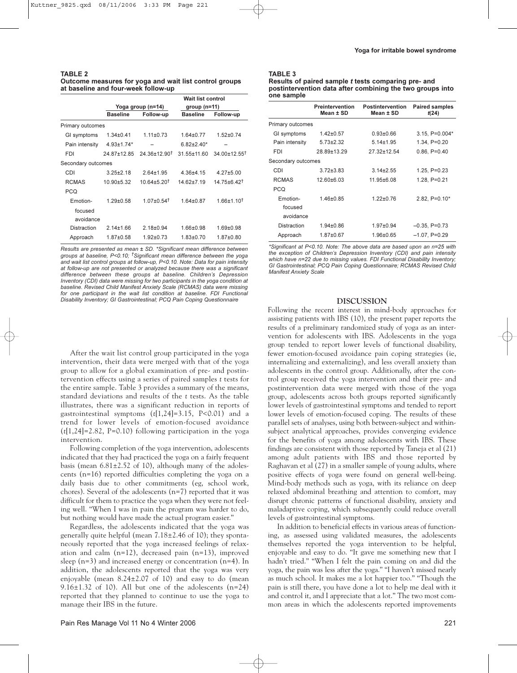#### TARI F 2 Outcome measures for yoga and wait list control groups at baseline and four-week follow-up

|                    |                   |                              |                 | <b>Wait list control</b>       |  |
|--------------------|-------------------|------------------------------|-----------------|--------------------------------|--|
|                    | Yoga group (n=14) |                              | group $(n=11)$  |                                |  |
|                    | <b>Baseline</b>   | Follow-up                    | <b>Baseline</b> | Follow-up                      |  |
| Primary outcomes   |                   |                              |                 |                                |  |
| GI symptoms        | $1.34 \pm 0.41$   | $1.11 \pm 0.73$              | $164+077$       | $1.52 \pm 0.74$                |  |
| Pain intensity     | $4.93 \pm 1.74$ * |                              | $6.82 + 2.40*$  |                                |  |
| <b>FDI</b>         | 24.87±12.85       | 24 36+12 901                 | $31.55 + 11.60$ | $34.00 \pm 12.55$ <sup>†</sup> |  |
| Secondary outcomes |                   |                              |                 |                                |  |
| CDI                | $3.25 \pm 2.18$   | $264+195$                    | $4.36 + 4.15$   | $4.27 \pm 5.00$                |  |
| <b>RCMAS</b>       | $10.90 + 5.32$    | 10 64+5 20 <sup>†</sup>      | 14.62±7.19      | 14 75+6 42 <sup>1</sup>        |  |
| PCO                |                   |                              |                 |                                |  |
| Emotion-           | $1.29 \pm 0.58$   | $1.07 \pm 0.54$ <sup>†</sup> | $1.64 \pm 0.87$ | $1.66 \pm 1.10$ <sup>†</sup>   |  |
| focused            |                   |                              |                 |                                |  |
| avoidance          |                   |                              |                 |                                |  |
| Distraction        | $2,14+166$        | $2,18+0,94$                  | $166+098$       | $1.69 + 0.98$                  |  |
| Approach           | $1.87 + 0.58$     | $1.92 \pm 0.73$              | $1.83 + 0.70$   | $1.87 + 0.80$                  |  |

Results are presented as mean ± SD. \*Significant mean difference between groups at baseline,  $P < 0.10$ ; <sup>†</sup>Significant mean difference between the yoga and wait list control groups at follow-up, P<0.10. Note: Data for pain intensity at follow-up are not presented or analyzed because there was a significant difference between these groups at baseline. Children's Depression Inventory (CDI) data were missing for two participants in the yoga condition at baseline. Revised Child Manifest Anxiety Scale (RCMAS) data were missing for one participant in the wait list condition at baseline. FDI Functional Disability Inventory; GI Gastrointestinal; PCQ Pain Coping Questionnaire

After the wait list control group participated in the yoga intervention, their data were merged with that of the yoga group to allow for a global examination of pre- and postintervention effects using a series of paired samples t tests for the entire sample. Table 3 provides a summary of the means, standard deviations and results of the t tests. As the table illustrates, there was a significant reduction in reports of gastrointestinal symptoms  $(t[1,24]=3.15, P<0.01)$  and a trend for lower levels of emotion-focused avoidance  $(t[1,24]=2.82, P=0.10)$  following participation in the yoga intervention.

Following completion of the yoga intervention, adolescents indicated that they had practiced the yoga on a fairly frequent basis (mean  $6.81\pm2.52$  of 10), although many of the adolescents (n=16) reported difficulties completing the yoga on a daily basis due to other commitments (eg, school work, chores). Several of the adolescents (n=7) reported that it was difficult for them to practice the yoga when they were not feeling well. "When I was in pain the program was harder to do, but nothing would have made the actual program easier."

Regardless, the adolescents indicated that the yoga was generally quite helpful (mean 7.18±2.46 of 10); they spontaneously reported that the yoga increased feelings of relaxation and calm (n=12), decreased pain (n=13), improved sleep (n=3) and increased energy or concentration (n=4). In addition, the adolescents reported that the yoga was very enjoyable (mean 8.24±2.07 of 10) and easy to do (mean 9.16 $\pm$ 1.32 of 10). All but one of the adolescents (n=24) reported that they planned to continue to use the yoga to manage their IBS in the future.

#### TABLE 3

Results of paired sample t tests comparing pre- and postintervention data after combining the two groups into one sample

|                    | Preintervention<br>Mean ± SD | <b>Postintervention</b><br>Mean ± SD | <b>Paired samples</b><br>t(24) |  |  |
|--------------------|------------------------------|--------------------------------------|--------------------------------|--|--|
| Primary outcomes   |                              |                                      |                                |  |  |
| GI symptoms        | $1.42 \pm 0.57$              | $0.93 + 0.66$                        | $3.15$ , P=0.004*              |  |  |
| Pain intensity     | $5.73 \pm 2.32$              | $514+195$                            | 1.34, P=0.20                   |  |  |
| FDI                | 28.89±13.29                  | 27.32±12.54                          | $0.86. P=0.40$                 |  |  |
| Secondary outcomes |                              |                                      |                                |  |  |
| CDI                | $3.72 \pm 3.83$              | $3.14 \pm 2.55$                      | $1.25, P=0.23$                 |  |  |
| <b>RCMAS</b>       | $12.60 + 6.03$               | $11.95 \pm 6.08$                     | $1.28, P=0.21$                 |  |  |
| <b>PCO</b>         |                              |                                      |                                |  |  |
| Fmotion-           | $1.46 \pm 0.85$              | 1 22+0 76                            | $2.82. P=0.10*$                |  |  |
| focused            |                              |                                      |                                |  |  |
| avoidance          |                              |                                      |                                |  |  |
| Distraction        | $1.94 \pm 0.86$              | $1.97 \pm 0.94$                      | $-0.35, P=0.73$                |  |  |
| Approach           | $1.87 \pm 0.67$              | $1.96 \pm 0.65$                      | $-1.07, P=0.29$                |  |  |

\*Significant at P<0.10. Note: The above data are based upon an n=25 with the exception of Children's Depression Inventory (CDI) and pain intensity which have n=22 due to missing values. FDI Functional Disability Inventory; GI Gastrointestinal; PCQ Pain Coping Questionnaire; RCMAS Revised Child Manifest Anxiety Scale

#### DISCUSSION

Following the recent interest in mind-body approaches for assisting patients with IBS (10), the present paper reports the results of a preliminary randomized study of yoga as an intervention for adolescents with IBS. Adolescents in the yoga group tended to report lower levels of functional disability, fewer emotion-focused avoidance pain coping strategies (ie, internalizing and externalizing), and less overall anxiety than adolescents in the control group. Additionally, after the control group received the yoga intervention and their pre- and postintervention data were merged with those of the yoga group, adolescents across both groups reported significantly lower levels of gastrointestinal symptoms and tended to report lower levels of emotion-focused coping. The results of these parallel sets of analyses, using both between-subject and withinsubject analytical approaches, provides converging evidence for the benefits of yoga among adolescents with IBS. These findings are consistent with those reported by Taneja et al (21) among adult patients with IBS and those reported by Raghavan et al (27) in a smaller sample of young adults, where positive effects of yoga were found on general well-being. Mind-body methods such as yoga, with its reliance on deep relaxed abdominal breathing and attention to comfort, may disrupt chronic patterns of functional disability, anxiety and maladaptive coping, which subsequently could reduce overall levels of gastrointestinal symptoms.

In addition to beneficial effects in various areas of functioning, as assessed using validated measures, the adolescents themselves reported the yoga intervention to be helpful, enjoyable and easy to do. "It gave me something new that I hadn't tried." "When I felt the pain coming on and did the yoga, the pain was less after the yoga." "I haven't missed nearly as much school. It makes me a lot happier too." "Though the pain is still there, you have done a lot to help me deal with it and control it, and I appreciate that a lot." The two most common areas in which the adolescents reported improvements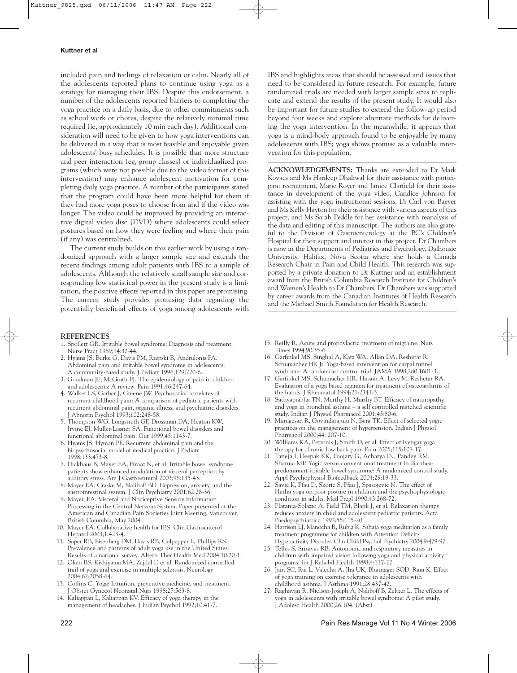included pain and feelings of relaxation or calm. Nearly all of the adolescents reported plans to continue using yoga as a strategy for managing their IBS. Despite this endorsement, a number of the adolescents reported barriers to completing the yoga practice on a daily basis, due to other commitments such as school work or chores, despite the relatively minimal time required (ie, approximately 10 min each day). Additional consideration will need to be given to how yoga interventions can be delivered in a way that is most feasible and enjoyable given adolescents' busy schedules. It is possible that more structure and peer interaction (eg, group classes) or individualized programs (which were not possible due to the video format of this intervention) may enhance adolescent motivation for completing daily yoga practice. A number of the participants stated that the program could have been more helpful for them if they had more yoga poses to choose from and if the video was longer. The video could be improved by providing an interactive digital video disc (DVD) where adolescents could select postures based on how they were feeling and where their pain (if any) was centralized.

The current study builds on this earlier work by using a randomized approach with a larger sample size and extends the recent findings among adult patients with IBS to a sample of adolescents. Although the relatively small sample size and corresponding low statistical power in the present study is a limitation, the positive effects reported in this paper are promising. The current study provides promising data regarding the potentially beneficial effects of yoga among adolescents with

#### REFERENCES

- 1. Spollett GR. Irritable bowel syndrome: Diagnosis and treatment. Nurse Pract 1989;14:32-44.
- 2. Hyams JS, Burke G, Davis PM, Rzepski B, Andrulonis PA. Abdominal pain and irritable bowel syndrome in adolescents: A community-based study. J Pediatr 1996;129:220-6.
- 3. Goodman JE, McGrath PJ. The epidemiology of pain in children and adolescents: A review. Pain 1991;46:247-64.
- 4. Walker LS, Garber J, Greene JW. Psychosocial correlates of recurrent childhood pain: A comparison of pediatric patients with recurrent abdominal pain, organic illness, and psychiatric disorders. J Abnorm Psychol 1993;102:248-58.
- 5. Thompson WG, Longstreth GF, Drossman DA, Heaton KW, Irvine EJ, Muller-Lissner SA. Functional bowel disorders and functional abdominal pain. Gut 1999;45:1143-7.
- 6. Hyams JS, Hyman PE. Recurrent abdominal pain and the biopsychosocial model of medical practice. J Pediatr 1998;133:473-8.
- 7. Dickhaus B, Mayer EA, Firooz N, et al. Irritable bowel syndrome patients show enhanced modulation of visceral perception by auditory stress. Am J Gastroenterol 2003;98:135-43.
- 8. Mayer EA, Craske M, Naliboff BD. Depression, anxiety, and the gastrointestinal system. J Clin Psychiatry 2001;62:28-36.
- 9. Mayer, EA. Visceral and Nociceptive Sensory Information Processing in the Central Nervous System. Paper presented at the American and Canadian Pain Societies Joint Meeting, Vancouver, British Columbia, May 2004.
- 10. Mayer EA. Collaborative health for IBS. Clin Gastroenterol Hepatol 2003;1:423-4.
- 11. Saper RB, Eisenberg DM, Davis RB, Culpepper L, Phillips RS. Prevalence and patterns of adult yoga use in the United States: Results of a national survey. Altern Ther Health Med 2004:10:20-1.
- 12. Oken BS, Kishiyama MA, Zajdel D et al. Randomized controlled trail of yoga and exercise in multiple sclerosis. Neurology 2004;62:2058-64.
- 13. Collins C. Yoga: Intuition, preventive medicine, and treatment. Obstet Gynecol Neonatal Nurs 1998;27:563-8.
- 14. Kaliappan L, Kaliappan KV. Efficacy of yoga therapy in the management of headaches. J Indian Psychol 1992;10:41-7.

IBS and highlights areas that should be assessed and issues that need to be considered in future research. For example, future randomized trials are needed with larger sample sizes to replicate and extend the results of the present study. It would also be important for future studies to extend the follow-up period beyond four weeks and explore alternate methods for delivering the yoga intervention. In the meanwhile, it appears that yoga is a mind-body approach found to be enjoyable by many adolescents with IBS; yoga shows promise as a valuable intervention for this population.

ACKNOWLEDGEMENTS: Thanks are extended to Dr Mark Kovacs and Ms Hardeep Dhaliwal for their assistance with participant recruitment, Marie Royer and Janice Clarfield for their assistance in development of the yoga video, Candice Johnson for assisting with the yoga instructional sessions, Dr Carl von Baeyer and Ms Kelly Hayton for their assistance with various aspects of this project, and Ms Sarah Peddle for her assistance with reanalysis of the data and editing of this manuscript. The authors are also grateful to the Division of Gastroenterology at the BC's Children's Hospital for their support and interest in this project. Dr Chambers is now in the Departments of Pediatrics and Psychology, Dalhousie University, Halifax, Nova Scotia where she holds a Canada Research Chair in Pain and Child Health. This research was supported by a private donation to Dr Kuttner and an establishment award from the British Columbia Research Institute for Children's and Women's Health to Dr Chambers. Dr Chambers was supported by career awards from the Canadian Institutes of Health Research and the Michael Smith Foundation for Health Research.

- 15. Reilly R. Acute and prophylactic treatment of migraine. Nurs Times 1994;90:35-6.
- 16. Garfinkel MS, Singhal A, Katz WA, Allan DA, Reshetar R, Schumacher HR Jr. Yoga-based intervention for carpal tunnel syndrome: A randomized control trial. JAMA 1998;280:1601-3.
- 17. Garfinkel MS, Schumacher HR, Husain A, Levy M, Reshetar RA. Evaluation of a yoga based regimen for treatment of osteoarthritis of the hands. J Rheumatol 1994;21:2341-3.
- 18. Sathyaprabha TN, Murthy H, Murthy BT. Efficacy of naturopathy and yoga in bronchial asthma – a self controlled matched scientific study. Indian J Physiol Pharmacol 2001;45:80-6.
- 19. Murugesan R, Govindarajulu N, Bera TK. Effect of selected yogic practices on the management of hypertension. Indian J Physiol Pharmacol 2000;44: 207-10.
- 20. Williams KA, Petronis J, Smith D, et al. Effect of Iyengar yoga therapy for chronic low back pain. Pain 2005;115:107-17.
- 21. Taneja I, Deepak KK, Poojary G, Acharya IN, Pandey RM, Sharma MP. Yogic versus conventional treatment in diarrheapredominant irritable bowel syndrome: A randomized control study. Appl Psychophysiol Biofeedback 2004;29:19-33.
- 22. Savic K, Pfau D, Skoric S, Pfau J, Spasojevic N. The effect of Hatha yoga on poor posture in children and the psychophysiologic condition in adults. Med Pregl 1990;43:268-72.
- 23. Platania-Solazzo A, Field TM, Blank J, et al. Relaxation therapy reduces anxiety in child and adolescent pediatric patients. Acta Paedopsychiatrica 1992;55:115-20.
- 24. Harrison LJ, Manocha R, Rubia K. Sahaja yoga meditation as a family treatment programme for children with Attention Deficit-Hyperactivity Disorder. Clin Child Psychol Psychiatry 2004;9:479-97.
- 25. Telles S, Srinivas RB. Autonomic and respiratory measures in children with impaired vision following yoga and physical activity programs. Int J Rehabil Health 1998;4:117-22.
- 26. Jain SC, Rai L, Valecha A, Jha UK, Bhatnager SOD, Ram K. Effect of yoga training on exercise tolerance in adolescents with childhood asthma. J Asthma 1991;28:437-42.
- 27. Raghavan R, Nielson-Joseph A, Naliboff B, Zeltzer L. The effects of yoga in adolescents with irritable bowel syndrome: A pilot study. J Adolesc Health 2000;26:104. (Abst)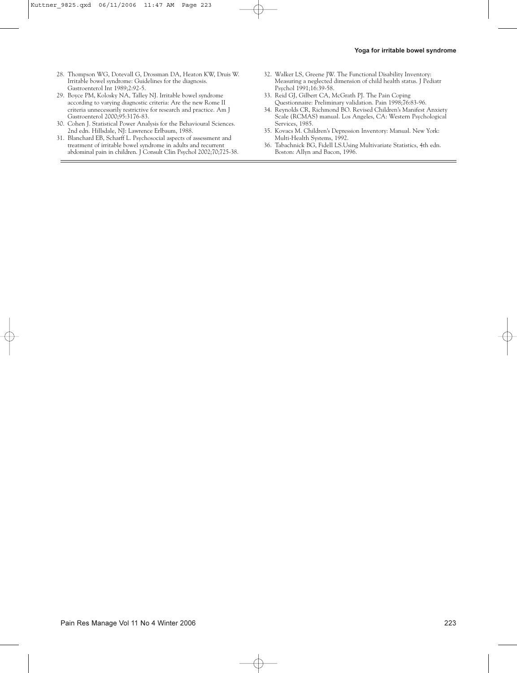- 28. Thompson WG, Dotevall G, Drossman DA, Heaton KW, Druis W. Irritable bowel syndrome: Guidelines for the diagnosis. Gastroenterol Int 1989;2:92-5.
- 29. Boyce PM, Kolosky NA, Talley NJ. Irritable bowel syndrome according to varying diagnostic criteria: Are the new Rome II criteria unnecessarily restrictive for research and practice. Am J Gastroenterol 2000;95:3176-83.
- 30. Cohen J. Statistical Power Analysis for the Behavioural Sciences. 2nd edn. Hillsdale, NJ: Lawrence Erlbaum, 1988.
- 31. Blanchard EB, Scharff L. Psychosocial aspects of assessment and treatment of irritable bowel syndrome in adults and recurrent abdominal pain in children. J Consult Clin Psychol 2002;70;725-38.
- 32. Walker LS, Greene JW. The Functional Disability Inventory: Measuring a neglected dimension of child health status. J Pediatr Psychol 1991;16:39-58.
- 33. Reid GJ, Gilbert CA, McGrath PJ. The Pain Coping Questionnaire: Preliminary validation. Pain 1998;76:83-96.
- 34. Reynolds CR, Richmond BO. Revised Children's Manifest Anxiety Scale (RCMAS) manual. Los Angeles, CA: Western Psychological Services, 1985.
- 35. Kovacs M. Children's Depression Inventory: Manual. New York: Multi-Health Systems, 1992.
- 36. Tabachnick BG, Fidell LS.Using Multivariate Statistics, 4th edn. Boston: Allyn and Bacon, 1996.